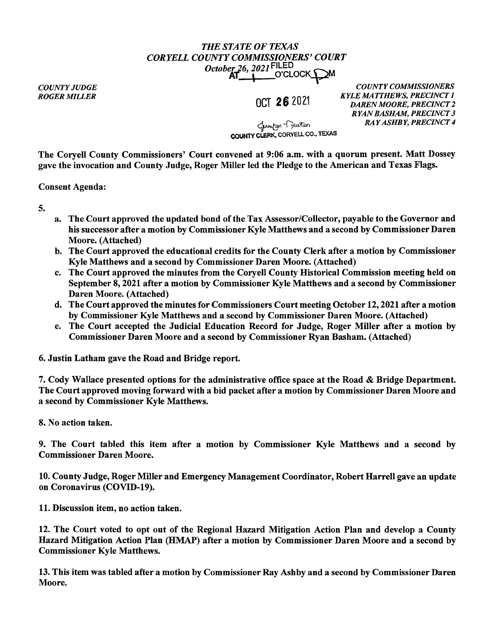## *THE STATE OF TEXAS CORYELL COUNTY COMMISSIONERS' COURT October 26, 2021* FILED<br>**AT\_\_\_\_\_**\_\_O'CLOCK\_QM

*COUNTY JUDGE* 

**ROGER MILLER OCT 26** 2021

*COUNTY COMMISSIONERS KYLE MATTHEWS, PRECINCT I DAREN MOORE, PRECINCT 2 RYAN BASHAM, PRECINCT 3 RAY ASHBY, PRECINCT 4* 

 $~\sigma$ COUNTY CLERK, CORYELL CO., TEXAS

The Coryell County Commissioners' Court convened at 9:06 a.m. with a quorum present. Matt Dossey gave the invocation and County Judge, Roger Miller led the Pledge to the American and Texas Flags.

Consent Agenda:

5.

- a. The Court approved the updated bond of the Tax Assessor/Collector, payable to the Governor and his successor after a motion by Commissioner Kyle Matthews and a second by Commissioner Daren Moore. (Attached)
- b. The Court approved the educational credits for the County Clerk after a motion by Commissioner Kyle Matthews and a second by Commissioner Daren Moore. (Attached)
- c. The Court approved the minutes from the Coryell County Historical Commission meeting held on September 8, 2021 after a motion by Commissioner Kyle Matthews and a second by Commissioner Daren Moore. (Attached)
- d. The Court approved the minutes for Commissioners Court meeting October 12, 2021 after a motion by Commissioner Kyle Matthews and a second by Commissioner Daren Moore. (Attached)
- e. The Court accepted the Judicial Education Record for Judge, Roger Miller after a motion by Commissioner Daren Moore and a second by Commissioner Ryan Basham. (Attached)

6. Justin Latham gave the Road and Bridge report.

7. Cody Wallace presented options for the administrative office space at the Road & Bridge Department. The Court approved moving forward with a bid packet after a motion by Commissioner Daren Moore and a second by Commissioner Kyle Matthews.

8. No action taken.

9. The Court tabled this item after a motion by Commissioner Kyle Matthews and a second by Commissioner Daren Moore.

10. County Judge, Roger Miller and Emergency Management Coordinator, Robert Harrell gave an update on Coronavirus (COVID-19).

11. Discussion item, no action taken.

12. The Court voted to opt out of the Regional Hazard Mitigation Action Plan and develop a County Hazard Mitigation Action Plan (HMAP) after a motion by Commissioner Daren Moore and a second by Commissioner Kyle Matthews.

13. This item was tabled after a motion by Commissioner Ray Ashby and a second by Commissioner Daren Moore.